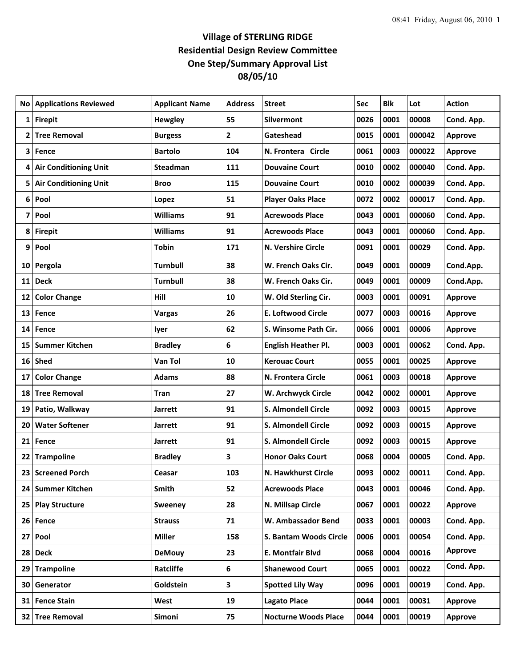## **Village of STERLING RIDGE Residential Design Review Committee One Step/Summary Approval List 08/05/10**

| No              | <b>Applications Reviewed</b> | <b>Applicant Name</b> | <b>Address</b> | <b>Street</b>                 | Sec  | <b>Blk</b> | Lot    | <b>Action</b>  |
|-----------------|------------------------------|-----------------------|----------------|-------------------------------|------|------------|--------|----------------|
| 1               | <b>Firepit</b>               | <b>Hewgley</b>        | 55             | <b>Silvermont</b>             | 0026 | 0001       | 00008  | Cond. App.     |
| 2               | <b>Tree Removal</b>          | <b>Burgess</b>        | $\mathbf{2}$   | Gateshead                     | 0015 | 0001       | 000042 | <b>Approve</b> |
| 3               | Fence                        | <b>Bartolo</b>        | 104            | N. Frontera Circle            | 0061 | 0003       | 000022 | <b>Approve</b> |
| 4               | <b>Air Conditioning Unit</b> | <b>Steadman</b>       | 111            | <b>Douvaine Court</b>         | 0010 | 0002       | 000040 | Cond. App.     |
| 5               | <b>Air Conditioning Unit</b> | <b>Broo</b>           | 115            | <b>Douvaine Court</b>         | 0010 | 0002       | 000039 | Cond. App.     |
| 6               | Pool                         | Lopez                 | 51             | <b>Player Oaks Place</b>      | 0072 | 0002       | 000017 | Cond. App.     |
| 7               | Pool                         | <b>Williams</b>       | 91             | <b>Acrewoods Place</b>        | 0043 | 0001       | 000060 | Cond. App.     |
| 8               | <b>Firepit</b>               | <b>Williams</b>       | 91             | <b>Acrewoods Place</b>        | 0043 | 0001       | 000060 | Cond. App.     |
| 9               | Pool                         | <b>Tobin</b>          | 171            | N. Vershire Circle            | 0091 | 0001       | 00029  | Cond. App.     |
| 10 <sub>l</sub> | Pergola                      | Turnbull              | 38             | W. French Oaks Cir.           | 0049 | 0001       | 00009  | Cond.App.      |
| 11              | <b>Deck</b>                  | <b>Turnbull</b>       | 38             | W. French Oaks Cir.           | 0049 | 0001       | 00009  | Cond.App.      |
| 12              | <b>Color Change</b>          | Hill                  | 10             | W. Old Sterling Cir.          | 0003 | 0001       | 00091  | <b>Approve</b> |
| 13              | Fence                        | <b>Vargas</b>         | 26             | <b>E. Loftwood Circle</b>     | 0077 | 0003       | 00016  | <b>Approve</b> |
| 14              | Fence                        | lyer                  | 62             | S. Winsome Path Cir.          | 0066 | 0001       | 00006  | <b>Approve</b> |
| 15              | <b>Summer Kitchen</b>        | <b>Bradley</b>        | 6              | English Heather Pl.           | 0003 | 0001       | 00062  | Cond. App.     |
| 16              | Shed                         | Van Tol               | 10             | <b>Kerouac Court</b>          | 0055 | 0001       | 00025  | <b>Approve</b> |
| 17              | <b>Color Change</b>          | <b>Adams</b>          | 88             | N. Frontera Circle            | 0061 | 0003       | 00018  | <b>Approve</b> |
| 18              | <b>Tree Removal</b>          | <b>Tran</b>           | 27             | W. Archwyck Circle            | 0042 | 0002       | 00001  | <b>Approve</b> |
| 19              | Patio, Walkway               | <b>Jarrett</b>        | 91             | S. Almondell Circle           | 0092 | 0003       | 00015  | <b>Approve</b> |
| 20              | <b>Water Softener</b>        | Jarrett               | 91             | S. Almondell Circle           | 0092 | 0003       | 00015  | Approve        |
| 21              | Fence                        | <b>Jarrett</b>        | 91             | <b>S. Almondell Circle</b>    | 0092 | 0003       | 00015  | <b>Approve</b> |
| 22              | <b>Trampoline</b>            | <b>Bradley</b>        | 3              | <b>Honor Oaks Court</b>       | 0068 | 0004       | 00005  | Cond. App.     |
| 23              | <b>Screened Porch</b>        | Ceasar                | 103            | N. Hawkhurst Circle           | 0093 | 0002       | 00011  | Cond. App.     |
|                 | 24 Summer Kitchen            | Smith                 | 52             | <b>Acrewoods Place</b>        | 0043 | 0001       | 00046  | Cond. App.     |
| 25 <sub>1</sub> | <b>Play Structure</b>        | <b>Sweeney</b>        | 28             | N. Millsap Circle             | 0067 | 0001       | 00022  | <b>Approve</b> |
|                 | 26 Fence                     | <b>Strauss</b>        | 71             | W. Ambassador Bend            | 0033 | 0001       | 00003  | Cond. App.     |
|                 | 27 Pool                      | <b>Miller</b>         | 158            | <b>S. Bantam Woods Circle</b> | 0006 | 0001       | 00054  | Cond. App.     |
|                 | 28 Deck                      | <b>DeMouy</b>         | 23             | E. Montfair Blvd              | 0068 | 0004       | 00016  | <b>Approve</b> |
| 29              | <b>Trampoline</b>            | Ratcliffe             | 6              | <b>Shanewood Court</b>        | 0065 | 0001       | 00022  | Cond. App.     |
| 30              | Generator                    | Goldstein             | 3              | <b>Spotted Lily Way</b>       | 0096 | 0001       | 00019  | Cond. App.     |
| 31              | <b>Fence Stain</b>           | West                  | 19             | <b>Lagato Place</b>           | 0044 | 0001       | 00031  | Approve        |
|                 | 32 Tree Removal              | Simoni                | 75             | <b>Nocturne Woods Place</b>   | 0044 | 0001       | 00019  | <b>Approve</b> |